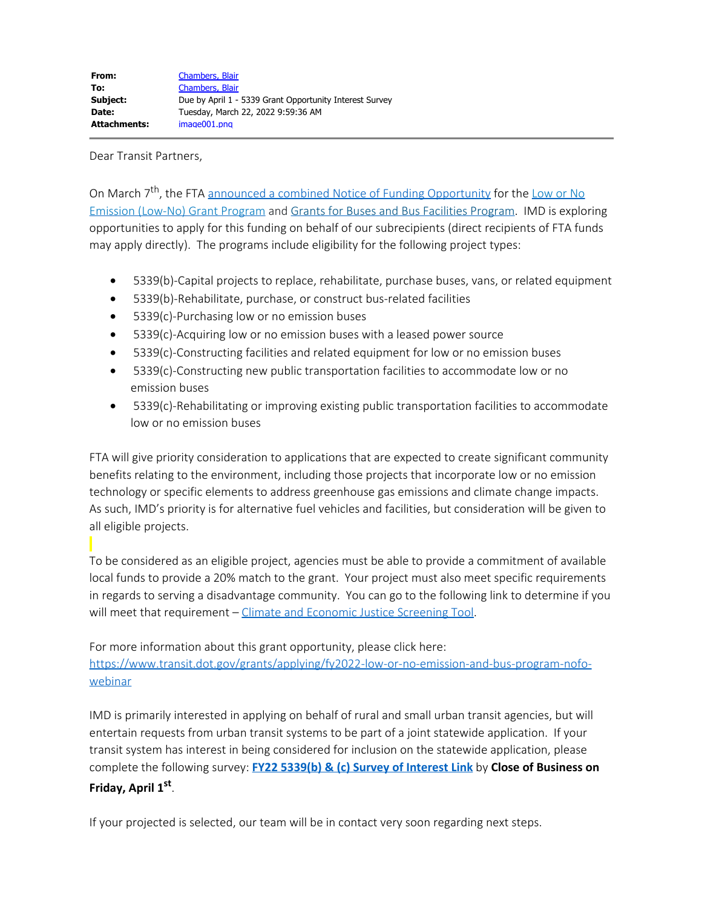Dear Transit Partners,

On March 7<sup>th</sup>, the FTA [announced a combined Notice of Funding Opportunity](https://www.transit.dot.gov/about/news/biden-harris-administration-and-us-department-transportation-announce-nearly-15-billion) for the [Low or No](https://www.transit.dot.gov/lowno) [Emission \(Low-No\) Grant Program](https://www.transit.dot.gov/lowno) and [Grants for Buses and Bus Facilities Program](https://www.transit.dot.gov/bus-program). IMD is exploring opportunities to apply for this funding on behalf of our subrecipients (direct recipients of FTA funds may apply directly). The programs include eligibility for the following project types:

- · 5339(b)-Capital projects to replace, rehabilitate, purchase buses, vans, or related equipment
- · 5339(b)-Rehabilitate, purchase, or construct bus-related facilities
- · 5339(c)-Purchasing low or no emission buses
- · 5339(c)-Acquiring low or no emission buses with a leased power source
- · 5339(c)-Constructing facilities and related equipment for low or no emission buses
- · 5339(c)-Constructing new public transportation facilities to accommodate low or no emission buses
- · 5339(c)-Rehabilitating or improving existing public transportation facilities to accommodate low or no emission buses

FTA will give priority consideration to applications that are expected to create significant community benefits relating to the environment, including those projects that incorporate low or no emission technology or specific elements to address greenhouse gas emissions and climate change impacts. As such, IMD's priority is for alternative fuel vehicles and facilities, but consideration will be given to all eligible projects.

To be considered as an eligible project, agencies must be able to provide a commitment of available local funds to provide a 20% match to the grant. Your project must also meet specific requirements in regards to serving a disadvantage community. You can go to the following link to determine if you will meet that requirement – [Climate and Economic Justice Screening Tool](https://screeningtool.geoplatform.gov/en/cejst#3/33.47/-97.5).

For more information about this grant opportunity, please click here: [https://www.transit.dot.gov/grants/applying/fy2022-low-or-no-emission-and-bus-program-nofo](https://www.transit.dot.gov/grants/applying/fy2022-low-or-no-emission-and-bus-program-nofo-webinar)[webinar](https://www.transit.dot.gov/grants/applying/fy2022-low-or-no-emission-and-bus-program-nofo-webinar)

IMD is primarily interested in applying on behalf of rural and small urban transit agencies, but will entertain requests from urban transit systems to be part of a joint statewide application. If your transit system has interest in being considered for inclusion on the statewide application, please complete the following survey: **[FY22 5339\(b\) & \(c\) Survey of Interest Link](https://app.smartsheet.com/b/form/42ffab9fe5294616ad106144e657f125)** by **Close of Business on**

## **Friday, April 1st**.

If your projected is selected, our team will be in contact very soon regarding next steps.